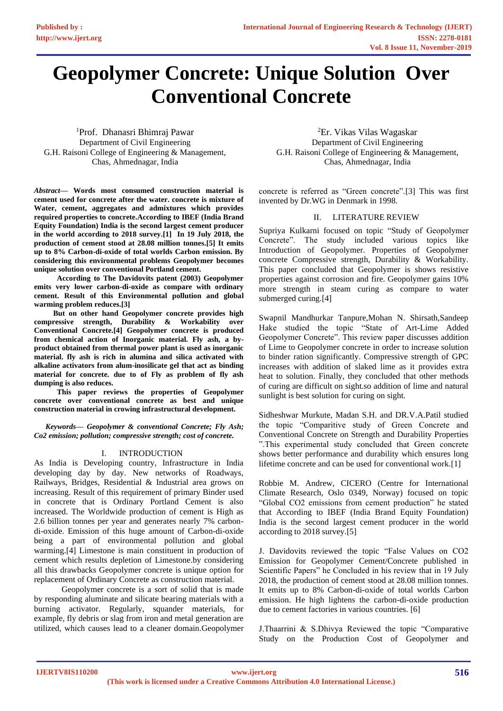# **Geopolymer Concrete: Unique Solution Over Conventional Concrete**

<sup>1</sup>Prof. Dhanasri Bhimraj Pawar Department of Civil Engineering G.H. Raisoni College of Engineering & Management, Chas, Ahmednagar, India

*Abstract***— Words most consumed construction material is cement used for concrete after the water. concrete is mixture of Water, cement, aggregates and admixtures which provides required properties to concrete.According to IBEF (India Brand Equity Foundation) India is the second largest cement producer in the world according to 2018 survey.[1] In 19 July 2018, the production of cement stood at 28.08 million tonnes.[5] It emits up to 8% Carbon-di-oxide of total worlds Carbon emission. By considering this environmental problems Geopolymer becomes unique solution over conventional Portland cement.**

 **According to The Davidovits patent (2003) Geopolymer emits very lower carbon-di-oxide as compare with ordinary cement. Result of this Environmental pollution and global warming problem reduces.[3]**

 **But on other hand Geopolymer concrete provides high compressive strength, Durability & Workability over Conventional Concrete.[4] Geopolymer concrete is produced from chemical action of Inorganic material. Fly ash, a byproduct obtained from thermal power plant is used as inorganic material. fly ash is rich in alumina and silica activated with alkaline activators from alum-inosilicate gel that act as binding material for concrete. due to of Fly as problem of fly ash dumping is also reduces.** 

 **This paper reviews the properties of Geopolymer concrete over conventional concrete as best and unique construction material in crowing infrastructural development.**

*Keywords— Geopolymer & conventional Concrete; Fly Ash; Co2 emission; pollution; compressive strength; cost of concrete.*

# I. INTRODUCTION

As India is Developing country, Infrastructure in India developing day by day. New networks of Roadways, Railways, Bridges, Residential & Industrial area grows on increasing. Result of this requirement of primary Binder used in concrete that is Ordinary Portland Cement is also increased. The Worldwide production of cement is High as 2.6 billion tonnes per year and generates nearly 7% carbondi-oxide. Emission of this huge amount of Carbon-di-oxide being a part of environmental pollution and global warming.[4] Limestone is main constituent in production of cement which results depletion of Limestone.by considering all this drawbacks Geopolymer concrete is unique option for replacement of Ordinary Concrete as construction material.

 Geopolymer concrete is a sort of solid that is made by responding aluminate and silicate bearing materials with a burning activator. Regularly, squander materials, for example, fly debris or slag from iron and metal generation are utilized, which causes lead to a cleaner domain.Geopolymer

<sup>2</sup>Er. Vikas Vilas Wagaskar Department of Civil Engineering G.H. Raisoni College of Engineering & Management, Chas, Ahmednagar, India

concrete is referred as "Green concrete".[3] This was first invented by Dr.WG in Denmark in 1998.

## II. LITERATURE REVIEW

Supriya Kulkarni focused on topic "Study of Geopolymer Concrete". The study included various topics like Introduction of Geopolymer. Properties of Geopolymer concrete Compressive strength, Durability & Workability. This paper concluded that Geopolymer is shows resistive properties against corrosion and fire. Geopolymer gains 10% more strength in steam curing as compare to water submerged curing.[4]

Swapnil Mandhurkar Tanpure,Mohan N. Shirsath,Sandeep Hake studied the topic "State of Art-Lime Added Geopolymer Concrete". This review paper discusses addition of Lime to Geopolymer concrete in order to increase solution to binder ration significantly. Compressive strength of GPC increases with addition of slaked lime as it provides extra heat to solution. Finally, they concluded that other methods of curing are difficult on sight.so addition of lime and natural sunlight is best solution for curing on sight.

Sidheshwar Murkute, Madan S.H. and DR.V.A.Patil studied the topic "Comparitive study of Green Concrete and Conventional Concrete on Strength and Durability Properties ".This experimental study concluded that Green concrete shows better performance and durability which ensures long lifetime concrete and can be used for conventional work.[1]

Robbie M. Andrew, CICERO (Centre for International Climate Research, Oslo 0349, Norway) focused on topic "Global CO2 emissions from cement production" he stated that According to IBEF (India Brand Equity Foundation) India is the second largest cement producer in the world according to 2018 survey.[5]

J. Davidovits reviewed the topic "False Values on CO2 Emission for Geopolymer Cement/Concrete published in Scientific Papers" he Concluded in his review that in 19 July 2018, the production of cement stood at 28.08 million tonnes. It emits up to 8% Carbon-di-oxide of total worlds Carbon emission. He high lightens the carbon-di-oxide production due to cement factories in various countries. [6]

J.Thaarrini & S.Dhivya Reviewed the topic "Comparative Study on the Production Cost of Geopolymer and